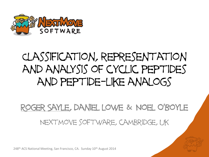

### Classification, representation and analysis of cyclic peptides and peptide-like analogs

#### Roger Sayle, daniel lowe & Noel O'Boyle Nextmove software, cambridge, uk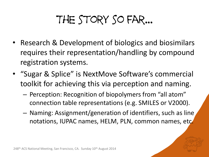## The story so far...

- Research & Development of biologics and biosimilars requires their representation/handling by compound registration systems.
- "Sugar & Splice" is NextMove Software's commercial toolkit for achieving this via perception and naming.
	- Perception: Recognition of biopolymers from "all atom" connection table representations (e.g. SMILES or V2000).
	- Naming: Assignment/generation of identifiers, such as line notations, IUPAC names, HELM, PLN, common names, etc.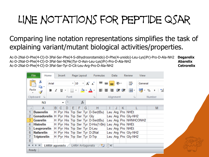## Line notations for peptide qsar

#### Comparing line notation representations simplifies the task of explaining variant/mutant biological activities/properties.

Ac-D-2Nal-D-Phe(4-Cl)-D-3Pal-Ser-Phe(4-S-dihydroorotamido)-D-Phe(4-ureido)-Leu-Lys(iPr)-Pro-D-Ala-NH2 **Degarelix** Ac-D-2Nal-D-Phe(4-Cl)-D-3Pal-Ser-N(Me)Tyr-D-Asn-Leu-Lys(iPr)-Pro-D-Ala-NH2 **Abarelix** Ac-D-2Nal-D-Phe(4-Cl)-D-3Pal-Ser-Tyr-D-Cit-Leu-Arg-Pro-D-Ala-NH2 **Cetrorelix Cetrorelix** 

|                                                                              | <b>File</b>      | Home |       | Insert       |                                      |     | Page Layout     |                                  | <b>Formulas</b>                                                                                                                                                                                                                                                                                                                                                                                                                                                                                 |  | Data |                       | Review              | View    |         |
|------------------------------------------------------------------------------|------------------|------|-------|--------------|--------------------------------------|-----|-----------------|----------------------------------|-------------------------------------------------------------------------------------------------------------------------------------------------------------------------------------------------------------------------------------------------------------------------------------------------------------------------------------------------------------------------------------------------------------------------------------------------------------------------------------------------|--|------|-----------------------|---------------------|---------|---------|
| Ж<br>ªa –                                                                    |                  |      | Arial |              |                                      |     | $\mathbf{r}$ 10 |                                  | $ \cdot $ A $ $ $\leq$ $ $ $\equiv$ $ $ $\equiv$ $ $                                                                                                                                                                                                                                                                                                                                                                                                                                            |  | ≫∼   |                       | 壽                   | General |         |
| Paste                                                                        |                  | в    | Ι     |              | $\overline{u}$ $\sim$ $\overline{u}$ | H - |                 |                                  | $\langle \mathbf{\hat{y}}\cdot\mathbf{A}\cdot \mathrel{\raisebox{1.5pt}{\scriptsize$\bullet$}}\mathrel{\raisebox{1.5pt}{\scriptsize$\bullet$}}\mathrel{\raisebox{1.5pt}{\scriptsize$\bullet$}}\mathrel{\raisebox{1.5pt}{\scriptsize$\bullet$}}\mathrel{\raisebox{1.5pt}{\scriptsize$\bullet$}}\mathrel{\raisebox{1.5pt}{\scriptsize$\bullet$}}\mathrel{\raisebox{1.5pt}{\scriptsize$\bullet$}}\mathrel{\raisebox{1.5pt}{\scriptsize$\bullet$}}\mathrel{\raisebox{1.5pt}{\scriptsize$\bullet$}}$ |  |      |                       | <b>Fact</b> +       | æ       | ≸5<br>% |
| Clipboard<br>同                                                               |                  |      | Font  |              |                                      |     |                 |                                  | Alignment<br>园                                                                                                                                                                                                                                                                                                                                                                                                                                                                                  |  |      |                       | 反                   | Number  |         |
| $f_x$<br>N3<br>$\overline{\phantom{a}}$                                      |                  |      |       |              |                                      |     |                 |                                  |                                                                                                                                                                                                                                                                                                                                                                                                                                                                                                 |  |      |                       |                     |         |         |
|                                                                              | A                |      | B.    | <sub>C</sub> | Ð                                    | F   | F               | G                                | н                                                                                                                                                                                                                                                                                                                                                                                                                                                                                               |  |      | К                     |                     |         | M       |
| 1                                                                            | <b>Buserelin</b> |      |       |              |                                      |     |                 |                                  | H Pyr His Trp Ser Tyr D-Ser(tBu)                                                                                                                                                                                                                                                                                                                                                                                                                                                                |  |      |                       | Leu Arg Pro NHEt    |         |         |
| 2<br>Gonadorelin   H   Pyr   His   Trp   Ser   Tyr   Gly                     |                  |      |       |              |                                      |     |                 |                                  |                                                                                                                                                                                                                                                                                                                                                                                                                                                                                                 |  |      |                       | Leu Arg Pro Gly-NH2 |         |         |
| 3.<br>Gosrelin                                                               |                  |      |       |              |                                      |     |                 | H Pyr His Trp Ser Tyr D-Ser(tBu) |                                                                                                                                                                                                                                                                                                                                                                                                                                                                                                 |  |      | Leu Arg Pro NHNHCONH2 |                     |         |         |
| 4<br><b>Histrelin</b>                                                        |                  |      |       |              |                                      |     |                 |                                  | H Pyr His Trp Ser Tyr D-His(1-Bn) Leu Arg Pro NHEt                                                                                                                                                                                                                                                                                                                                                                                                                                              |  |      |                       |                     |         |         |
| 5<br>Leuprorelin                                                             |                  |      |       |              |                                      |     |                 | H Pyr His Trp Ser Tyr D-Leu      |                                                                                                                                                                                                                                                                                                                                                                                                                                                                                                 |  |      | Leu Arg Pro NHEt      |                     |         |         |
| 6<br>Nafarelin                                                               |                  |      |       |              |                                      |     |                 | H Pyr His Trp Ser Tyr D-2Nal     |                                                                                                                                                                                                                                                                                                                                                                                                                                                                                                 |  |      | Leu Arg Pro Gly-NH2   |                     |         |         |
| <b>Triptorelin</b>                                                           |                  |      |       |              |                                      |     |                 | H Pyr His Trp Ser Tyr D-Trp      |                                                                                                                                                                                                                                                                                                                                                                                                                                                                                                 |  |      | Leu Arg Pro Gly-NH2   |                     |         |         |
| 8                                                                            |                  |      |       |              |                                      |     |                 |                                  |                                                                                                                                                                                                                                                                                                                                                                                                                                                                                                 |  |      |                       |                     |         |         |
| 14 H<br>E H.<br><b>LHRH Antagonists</b><br>LHRH agonists $\angle$<br>ध्याना∢ |                  |      |       |              |                                      |     |                 |                                  |                                                                                                                                                                                                                                                                                                                                                                                                                                                                                                 |  |      |                       |                     |         |         |
| Ready                                                                        |                  |      |       |              |                                      |     |                 |                                  |                                                                                                                                                                                                                                                                                                                                                                                                                                                                                                 |  |      |                       |                     |         |         |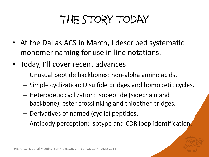## The story today

- At the Dallas ACS in March, I described systematic monomer naming for use in line notations.
- Today, I'll cover recent advances:
	- Unusual peptide backbones: non-alpha amino acids.
	- Simple cyclization: Disulfide bridges and homodetic cycles.
	- Heterodetic cyclization: isopeptide (sidechain and backbone), ester crosslinking and thioether bridges.
	- Derivatives of named (cyclic) peptides.
	- Antibody perception: Isotype and CDR loop identification.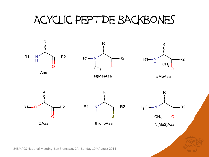#### Acyclic Peptide backbones

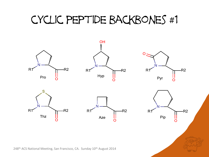### cyclic peptide backbones #1

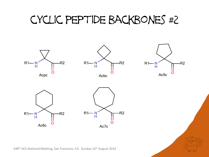#### cyclic peptide backbones #2

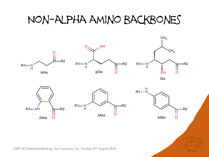#### Non-alpha amino backbones

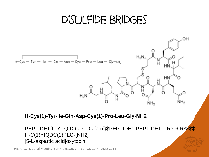#### Disulfide bridges



**H-Cys(1)-Tyr-Ile-Gln-Asp-Cys(1)-Pro-Leu-Gly-NH2**

PEPTIDE1{C.Y.I.Q.D.C.P.L.G.[am]}\$PEPTIDE1,PEPTIDE1,1:R3-6:R3\$\$\$ H-C(1)YIQDC(1)PLG-[NH2] [5-L-aspartic acid]oxytocin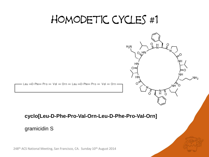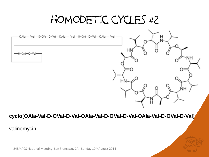### homodetic cycles #2

НŅ

JН

NH

OAla- Val -0-0Val-D-Val-OAla- Val -0-0Val-D-Val-OAla- Val



#### **cyclo[OAla-Val-D-OVal-D-Val-OAla-Val-D-OVal-D-Val-OAla-Val-D-OVal-D-Val]**

#### valinomycin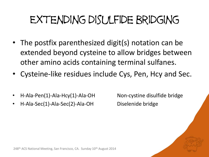## Extending disulfide bridging

- The postfix parenthesized digit(s) notation can be extended beyond cysteine to allow bridges between other amino acids containing terminal sulfanes.
- Cysteine-like residues include Cys, Pen, Hcy and Sec.
- H-Ala-Pen(1)-Ala-Hcy(1)-Ala-OH Non-cystine disulfide bridge
- H-Ala-Sec(1)-Ala-Sec(2)-Ala-OH Diselenide bridge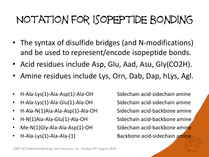## Notation for isopeptide bonding

- The syntax of disulfide bridges (and N-modifications) and be used to represent/encode isopeptide bonds.
- Acid residues include Asp, Glu, Aad, Asu, Gly(CO2H).
- Amine residues include Lys, Orn, Dab, Dap, hLys, Agl.
- H-Ala-Lys(1)-Ala-Asp(1)-Ala-OH Sidechain acid-sidechain amine
- H-Ala-Lys(1)-Ala-Glu(1)-Ala-OH Sidechain acid-sidechain amine
- H-Ala-N(1)Ala-Ala-Asp(1)-Ala-OH Sidechain acid-backbone amine
- H-N(1)Ala-Ala-Glu(1)-Ala-OH Sidechain acid-backbone amine
- Me-N(1)Gly-Ala-Ala-Asp(1)-OH Sidechain acid-backbone amine
- 

• H-Ala-Lys(1)-Ala-Ala-(1) Backbone acid-sidechain amine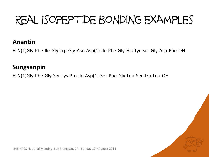# Real Isopeptide bonding examples

#### **Anantin**

H-N(1)Gly-Phe-Ile-Gly-Trp-Gly-Asn-Asp(1)-Ile-Phe-Gly-His-Tyr-Ser-Gly-Asp-Phe-OH

#### **Sungsanpin**

H-N(1)Gly-Phe-Gly-Ser-Lys-Pro-Ile-Asp(1)-Ser-Phe-Gly-Leu-Ser-Trp-Leu-OH

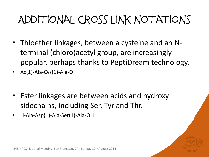# Additional cross link notations

- Thioether linkages, between a cysteine and an Nterminal (chloro)acetyl group, are increasingly popular, perhaps thanks to PeptiDream technology.
- Ac(1)-Ala-Cys(1)-Ala-OH
- Ester linkages are between acids and hydroxyl sidechains, including Ser, Tyr and Thr.
- H-Ala-Asp(1)-Ala-Ser(1)-Ala-OH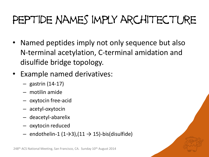## PEPTIDE NAMES IMPLY ARCHITECTURE

- Named peptides imply not only sequence but also N-terminal acetylation, C-terminal amidation and disulfide bridge topology.
- Example named derivatives:
	- gastrin (14-17)
	- motilin amide
	- oxytocin free-acid
	- acetyl-oxytocin
	- deacetyl-abarelix
	- oxytocin reduced
	- $-$  endothelin-1 (1→3),(11 → 15)-bis(disulfide)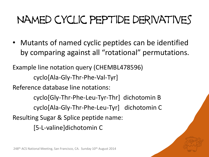## Named cyclic peptide derivatives

• Mutants of named cyclic peptides can be identified by comparing against all "rotational" permutations.

Example line notation query (CHEMBL478596) cyclo[Ala-Gly-Thr-Phe-Val-Tyr] Reference database line notations: cyclo[Gly-Thr-Phe-Leu-Tyr-Thr] dichotomin B cyclo[Ala-Gly-Thr-Phe-Leu-Tyr] dichotomin C Resulting Sugar & Splice peptide name: [5-L-valine]dichotomin C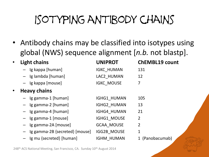# Isotyping antibody chains

• Antibody chains may be classified into isotypes using global (NWS) sequence alignment [*n.b.* not blastp].

| $\bullet$ | <b>Light chains</b>            | <b>UNIPROT</b>     | <b>ChEMBL19 count</b> |
|-----------|--------------------------------|--------------------|-----------------------|
|           | - Ig kappa [human]             | <b>IGKC_HUMAN</b>  | 131                   |
|           | - Ig lambda [human]            | LAC2_HUMAN         | 12                    |
|           | - Ig kappa [mouse]             | <b>IGKC MOUSE</b>  | 7                     |
| $\bullet$ | <b>Heavy chains</b>            |                    |                       |
|           | - Ig gamma-1 [human]           | IGHG1 HUMAN        | 105                   |
|           | $-$ Ig gamma-2 [human]         | IGHG2 HUMAN        | 13                    |
|           | $-$ Ig gamma-4 [human]         | IGHG4 HUMAN        | 21                    |
|           | $-$ Ig gamma-1 [mouse]         | IGHG1 MOUSE        | 2                     |
|           | Ig gamma-2A [mouse]            | <b>GCAA MOUSE</b>  | $\overline{2}$        |
|           | Ig gamma-2B {secreted} [mouse] | <b>IGG2B MOUSE</b> | $\mathbf{1}$          |
|           | Ig mu {secreted} [human]       | <b>IGHM HUMAN</b>  | (Panobacumab)         |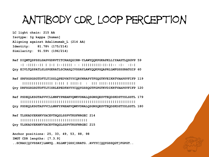#### Antibody CDR loop perception

**LC light chain: 215 AA Isotype: Ig kappa [human] Aligning against Adalimumab\_L (214 AA) Identity: 81.78% (175/214) Similarity: 91.59% (196/214)**

**Ref DIQMTQSPSSLSASVGDRVTITCRASQGIRN-YLAWYQQKPGKAPKLLIYAASTLQSGVP 59 :| :||||::|| | |:| |::||||| : : ||||||||||:||:||:: :|: :|:|**

**Qry EIVLTQSPATLSLSPGERATLSCRASQIVSSAYLAWYQQKPGQAPRLLMFGSSSRATGIP 60**

**Ref SRFSGSGSGTDFTLTISSLQPEDVATYYCQRYNRAPYTFGQGTKVEIKRTVAAPSVFIFP 119 |||||||||||||||| |:||| | ||||:| : ||| ||||:|||||||||||||| Qry DRFSGSGSGTDFTLTISRLEPEDFAVYYCQQYGSSQGTFGPGTKVDIKRTVAAPSVFIFP 120**

**Ref PSDEQLKSGTASVVCLLNNFYPREAKVQWKVDNALQSGNSQESVTEQDSKDSTYSLSSTL 179 ||||||||||||||||||||||||||||||||||||||||||||||||||||||||||||**

**Qry PSDEQLKSGTASVVCLLNNFYPREAKVQWKVDNALQSGNSQESVTEQDSKDSTYSLSSTL 180**

**Ref TLSKADYEKHKVYACEVTHQGLSSPVTKSFNRGEC 214**

 **|||||||||||||||||||||||||||||||||||**

**Qry TLSKADYEKHKVYACEVTHQGLSSPVTKSFNRGEC 215**

**Anchor positions: 25, 33, 49, 53, 88, 98**

**IMGT CDR lengths: [7.3.9]**

**..SCRAS[QIVSSAY]LAWYQ..RLLMF[GSS]SRATG..AVYYC[QQYGSSQGT]FGPGT..**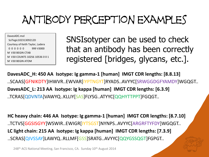## Antibody perception examples

DavesADC.mol SciTegic10231309212D Courtesy of Keith Taylor, Ladera 0 0 0 0 0 0 999 V3000 M V30 BEGIN CTAB M V30 COUNTS 10256 10536 0 0 1 M V30 BEGIN ATOM

SNSIsotyper can be used to check that an antibody has been correctly registered [bridges, glycans, etc.].

**DavesADC\_H: 450 AA Isotype: Ig gamma-1 [human] IMGT CDR lengths: [8.8.13]** ..SCAAS[GFNIKDTY]IHWVR..EWVAR[IYPTNGYT]RYADS..AVYYC[SRWGGDGFYAMDY]WGQGT.. **DavesADC\_L: 213 AA Isotype: Ig kappa [human] IMGT CDR lengths: [6.3.9]** ..TCRAS[QDVNTA]VAWYQ..KLLIY[SAS]FLYSG..ATYYC[QQHYTTPPT]FGQGT..

**HC heavy chain: 446 AA Isotype: Ig gamma-1 [human] IMGT CDR lengths: [8.7.10]** ..TCTVS[GGSISGYY]WSWIR..EWIGR[IYTSGST]NYNPS..AVYYC[ARGRFTYFDY]WGQGT.. **LC light chain: 215 AA Isotype: Ig kappa [human] IMGT CDR lengths: [7.3.9]** ..SCRAS[QIVSSAY]LAWYQ..RLLMF[GSS]SRATG..AVYYC[QQYGSSQGT]FGPGT..